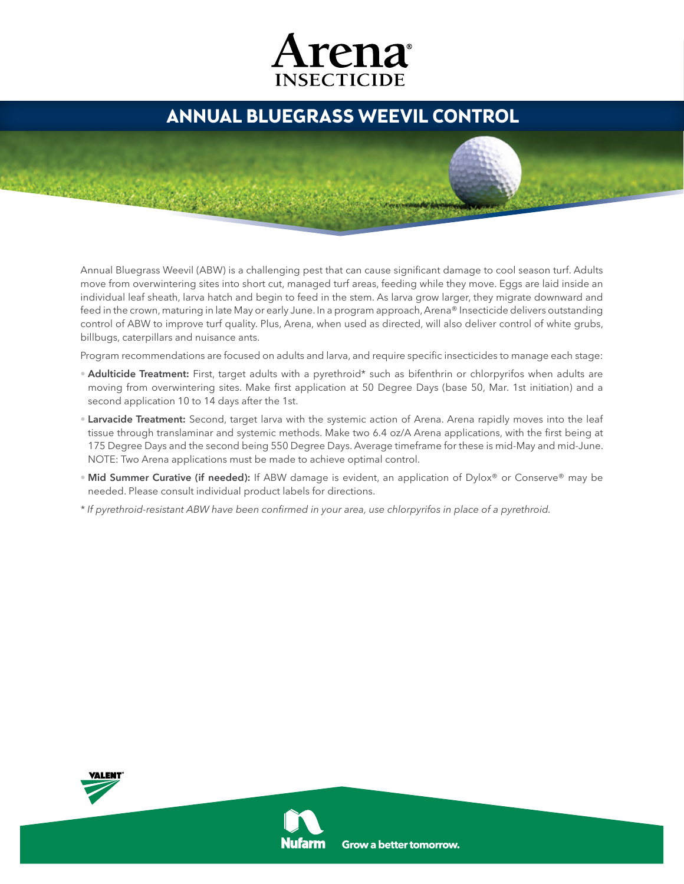## Arena **INSECTICIDE**

## **Annual Bluegrass Weevil Control**

Annual Bluegrass Weevil (ABW) is a challenging pest that can cause significant damage to cool season turf. Adults move from overwintering sites into short cut, managed turf areas, feeding while they move. Eggs are laid inside an individual leaf sheath, larva hatch and begin to feed in the stem. As larva grow larger, they migrate downward and feed in the crown, maturing in late May or early June. In a program approach, Arena® Insecticide delivers outstanding control of ABW to improve turf quality. Plus, Arena, when used as directed, will also deliver control of white grubs, billbugs, caterpillars and nuisance ants.

Program recommendations are focused on adults and larva, and require specific insecticides to manage each stage:

- Adulticide Treatment: First, target adults with a pyrethroid\* such as bifenthrin or chlorpyrifos when adults are moving from overwintering sites. Make first application at 50 Degree Days (base 50, Mar. 1st initiation) and a second application 10 to 14 days after the 1st.
- **Larvacide Treatment:** Second, target larva with the systemic action of Arena. Arena rapidly moves into the leaf tissue through translaminar and systemic methods. Make two 6.4 oz/A Arena applications, with the first being at 175 Degree Days and the second being 550 Degree Days. Average timeframe for these is mid-May and mid-June. NOTE: Two Arena applications must be made to achieve optimal control.
- Mid Summer Curative (if needed): If ABW damage is evident, an application of Dylox® or Conserve® may be needed. Please consult individual product labels for directions.
- \* If pyrethroid-resistant ABW have been confirmed in your area, use chlorpyrifos in place of a pyrethroid.